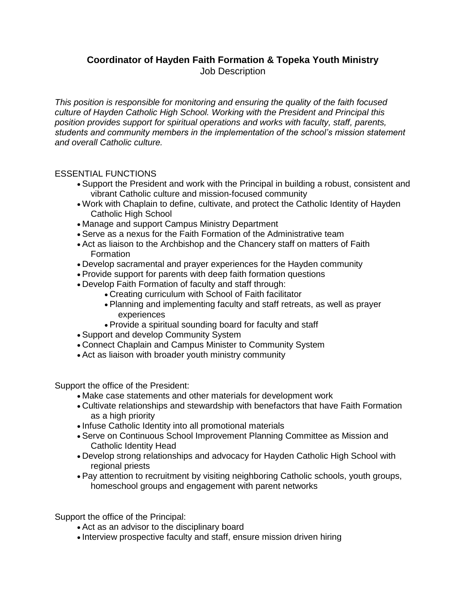## **Coordinator of Hayden Faith Formation & Topeka Youth Ministry** Job Description

*This position is responsible for monitoring and ensuring the quality of the faith focused culture of Hayden Catholic High School. Working with the President and Principal this position provides support for spiritual operations and works with faculty, staff, parents, students and community members in the implementation of the school's mission statement and overall Catholic culture.*

## ESSENTIAL FUNCTIONS

- Support the President and work with the Principal in building a robust, consistent and vibrant Catholic culture and mission-focused community
- Work with Chaplain to define, cultivate, and protect the Catholic Identity of Hayden Catholic High School
- Manage and support Campus Ministry Department
- Serve as a nexus for the Faith Formation of the Administrative team
- Act as liaison to the Archbishop and the Chancery staff on matters of Faith Formation
- Develop sacramental and prayer experiences for the Hayden community
- Provide support for parents with deep faith formation questions
- Develop Faith Formation of faculty and staff through:
	- Creating curriculum with School of Faith facilitator
	- Planning and implementing faculty and staff retreats, as well as prayer experiences
	- Provide a spiritual sounding board for faculty and staff
- Support and develop Community System
- Connect Chaplain and Campus Minister to Community System
- Act as liaison with broader youth ministry community

Support the office of the President:

- Make case statements and other materials for development work
- Cultivate relationships and stewardship with benefactors that have Faith Formation as a high priority
- Infuse Catholic Identity into all promotional materials
- Serve on Continuous School Improvement Planning Committee as Mission and Catholic Identity Head
- Develop strong relationships and advocacy for Hayden Catholic High School with regional priests
- Pay attention to recruitment by visiting neighboring Catholic schools, youth groups, homeschool groups and engagement with parent networks

Support the office of the Principal:

- Act as an advisor to the disciplinary board
- Interview prospective faculty and staff, ensure mission driven hiring